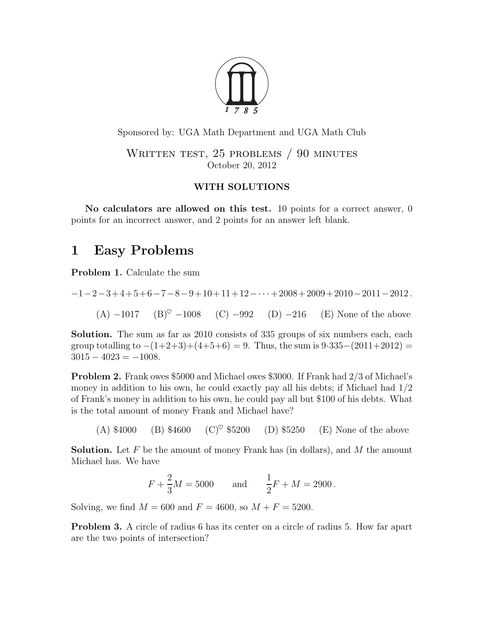

Sponsored by: UGA Math Department and UGA Math Club

WRITTEN TEST, 25 PROBLEMS / 90 MINUTES October 20, 2012

## WITH SOLUTIONS

No calculators are allowed on this test. 10 points for a correct answer, 0 points for an incorrect answer, and 2 points for an answer left blank.

## 1 Easy Problems

<span id="page-0-0"></span>Problem 1. Calculate the sum

$$
-1 - 2 - 3 + 4 + 5 + 6 - 7 - 8 - 9 + 10 + 11 + 12 - \dots + 2008 + 2009 + 2010 - 2011 - 2012.
$$
  
(A) -1017 (B)<sup>°</sup> -1008 (C) -992 (D) -216 (E) None of the above

Solution. The sum as far as 2010 consists of 335 groups of six numbers each, each group totalling to  $-(1+2+3)+(4+5+6) = 9$ . Thus, the sum is  $9.335-(2011+2012) =$  $3015 - 4023 = -1008.$ 

Problem 2. Frank owes \$5000 and Michael owes \$3000. If Frank had 2/3 of Michael's money in addition to his own, he could exactly pay all his debts; if Michael had  $1/2$ of Frank's money in addition to his own, he could pay all but \$100 of his debts. What is the total amount of money Frank and Michael have?

(A)  $$4000$  (B)  $$4600$  (C)<sup>\coro</sup> \$5200 (D) \$5250 (E) None of the above

**Solution.** Let F be the amount of money Frank has (in dollars), and M the amount Michael has. We have

$$
F + \frac{2}{3}M = 5000
$$
 and  $\frac{1}{2}F + M = 2900$ .

Solving, we find  $M = 600$  and  $F = 4600$ , so  $M + F = 5200$ .

Problem 3. A circle of radius 6 has its center on a circle of radius 5. How far apart are the two points of intersection?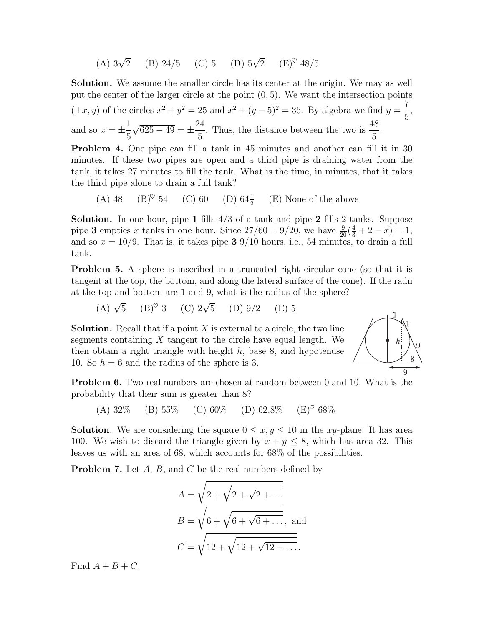(A)  $3\sqrt{2}$  (B)  $24/5$  (C) 5 (D)  $5\sqrt{2}$  (E)<sup> $\circ$ </sup>  $48/5$ 

Solution. We assume the smaller circle has its center at the origin. We may as well put the center of the larger circle at the point (0, 5). We want the intersection points  $(\pm x, y)$  of the circles  $x^2 + y^2 = 25$  and  $x^2 + (y - 5)^2 = 36$ . By algebra we find  $y = \frac{7}{5}$ 5 , and so  $x = \pm$ 1 5  $\sqrt{625 - 49} = \pm$ 24 5 . Thus, the distance between the two is  $\frac{48}{5}$ 5 . Problem 4. One pipe can fill a tank in 45 minutes and another can fill it in 30

minutes. If these two pipes are open and a third pipe is draining water from the tank, it takes 27 minutes to fill the tank. What is the time, in minutes, that it takes the third pipe alone to drain a full tank?

(A) 48 (B)<sup> $\heartsuit$ </sup> 54 (C) 60 (D) 64 $\frac{1}{2}$  (E) None of the above

**Solution.** In one hour, pipe 1 fills  $4/3$  of a tank and pipe 2 fills 2 tanks. Suppose pipe 3 empties x tanks in one hour. Since  $27/60 = 9/20$ , we have  $\frac{9}{20}(\frac{4}{3} + 2 - x) = 1$ , and so  $x = 10/9$ . That is, it takes pipe 3 9/10 hours, i.e., 54 minutes, to drain a full tank.

<span id="page-1-0"></span>**Problem 5.** A sphere is inscribed in a truncated right circular cone (so that it is tangent at the top, the bottom, and along the lateral surface of the cone). If the radii at the top and bottom are 1 and 9, what is the radius of the sphere?

(A)  $\sqrt{5}$  (B)<sup> $\heartsuit$ </sup> 3 (C)  $2\sqrt{5}$  (D)  $9/2$  (E) 5

**Solution.** Recall that if a point  $X$  is external to a circle, the two line segments containing  $X$  tangent to the circle have equal length. We then obtain a right triangle with height  $h$ , base 8, and hypotenuse 10. So  $h = 6$  and the radius of the sphere is 3.



**Problem 6.** Two real numbers are chosen at random between 0 and 10. What is the probability that their sum is greater than 8?

(A)  $32\%$  (B)  $55\%$  (C)  $60\%$  (D)  $62.8\%$  (E)<sup> $\heartsuit$ </sup>  $68\%$ 

**Solution.** We are considering the square  $0 \le x, y \le 10$  in the xy-plane. It has area 100. We wish to discard the triangle given by  $x + y \le 8$ , which has area 32. This leaves us with an area of 68, which accounts for 68% of the possibilities.

**Problem 7.** Let  $A$ ,  $B$ , and  $C$  be the real numbers defined by

$$
A = \sqrt{2 + \sqrt{2 + \sqrt{2 + \dots}}}
$$
  
\n
$$
B = \sqrt{6 + \sqrt{6 + \sqrt{6 + \dots}}},
$$
 and  
\n
$$
C = \sqrt{12 + \sqrt{12 + \sqrt{12 + \dots}}}
$$

Find  $A + B + C$ .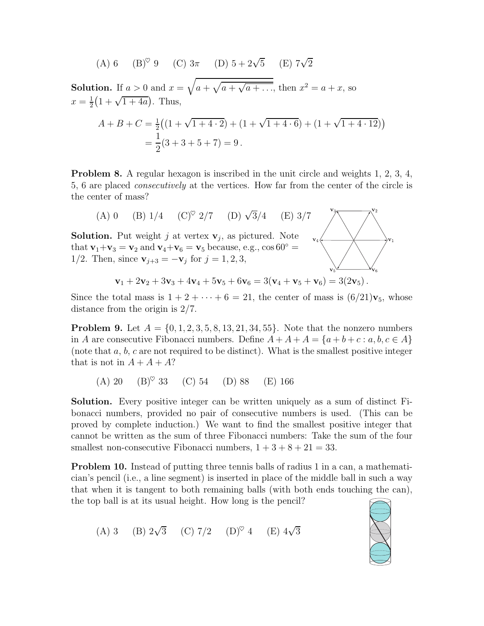(A) 6 (B)<sup>°</sup> 9 (C) 
$$
3\pi
$$
 (D)  $5 + 2\sqrt{5}$  (E)  $7\sqrt{2}$ 

**Solution.** If  $a > 0$  and  $x = \sqrt{a + \sqrt{a + \sqrt{a + \dots}}}$ , then  $x^2 = a + x$ , so  $x=\frac{1}{2}$  $\frac{1}{2}(1+\sqrt{1+4a})$ . Thus,

$$
A + B + C = \frac{1}{2} \left( (1 + \sqrt{1 + 4 \cdot 2}) + (1 + \sqrt{1 + 4 \cdot 6}) + (1 + \sqrt{1 + 4 \cdot 12}) \right)
$$
  
=  $\frac{1}{2} (3 + 3 + 5 + 7) = 9$ .

<span id="page-2-0"></span>Problem 8. A regular hexagon is inscribed in the unit circle and weights 1, 2, 3, 4, 5, 6 are placed consecutively at the vertices. How far from the center of the circle is the center of mass?



Since the total mass is  $1 + 2 + \cdots + 6 = 21$ , the center of mass is  $(6/21)\mathbf{v}_5$ , whose distance from the origin is 2/7.

**Problem 9.** Let  $A = \{0, 1, 2, 3, 5, 8, 13, 21, 34, 55\}$ . Note that the nonzero numbers in A are consecutive Fibonacci numbers. Define  $A + A + A = \{a + b + c : a, b, c \in A\}$ (note that  $a, b, c$  are not required to be distinct). What is the smallest positive integer that is not in  $A + A + A$ ?

(A) 20  $(B)^\heartsuit$  33 (C) 54 (D) 88 (E) 166

Solution. Every positive integer can be written uniquely as a sum of distinct Fibonacci numbers, provided no pair of consecutive numbers is used. (This can be proved by complete induction.) We want to find the smallest positive integer that cannot be written as the sum of three Fibonacci numbers: Take the sum of the four smallest non-consecutive Fibonacci numbers,  $1 + 3 + 8 + 21 = 33$ .

Problem 10. Instead of putting three tennis balls of radius 1 in a can, a mathematician's pencil (i.e., a line segment) is inserted in place of the middle ball in such a way that when it is tangent to both remaining balls (with both ends touching the can), the top ball is at its usual height. How long is the pencil?

(A) 3 (B)  $2\sqrt{3}$  (C)  $7/2$  (D)<sup> $\heartsuit$ </sup> 4 (E)  $4\sqrt{3}$ 

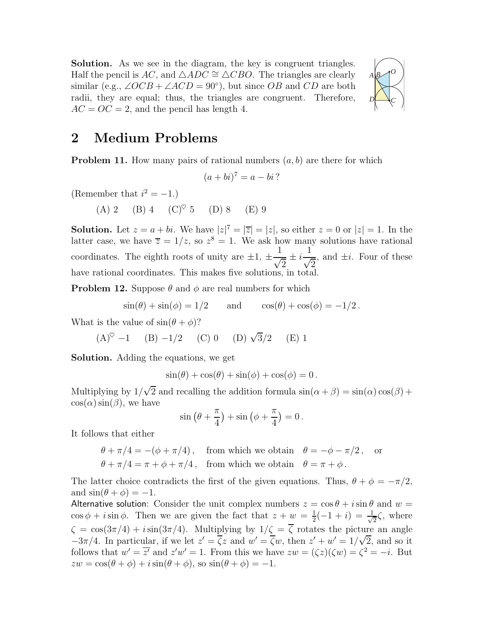Solution. As we see in the diagram, the key is congruent triangles. Half the pencil is AC, and  $\triangle ADC \cong \triangle CBO$ . The triangles are clearly similar (e.g.,  $\angle OCB + \angle ACD = 90^{\circ}$ ), but since OB and CD are both radii, they are equal; thus, the triangles are congruent. Therefore,  $AC = OC = 2$ , and the pencil has length 4.



## <span id="page-3-2"></span>2 Medium Problems

**Problem 11.** How many pairs of rational numbers  $(a, b)$  are there for which

$$
(a+bi)^7 = a - bi?
$$

(Remember that  $i^2 = -1$ .)

(A) 2 (B) 4 (C)<sup> $\heartsuit$ </sup> 5 (D) 8 (E) 9

**Solution.** Let  $z = a + bi$ . We have  $|z|^7 = |\overline{z}| = |z|$ , so either  $z = 0$  or  $|z| = 1$ . In the latter case, we have  $\overline{z} = 1/z$ , so  $z^8 = 1$ . We ask how many solutions have rational coordinates. The eighth roots of unity are  $\pm 1, \pm$ 1  $\frac{1}{\sqrt{2}} \pm i$ 1  $\frac{1}{\sqrt{2}}$ , and  $\pm i$ . Four of these have rational coordinates. This makes five solutions, in total.

<span id="page-3-1"></span>**Problem 12.** Suppose  $\theta$  and  $\phi$  are real numbers for which

$$
\sin(\theta) + \sin(\phi) = 1/2 \quad \text{and} \quad \cos(\theta) + \cos(\phi) = -1/2.
$$

What is the value of  $\sin(\theta + \phi)$ ?

$$
(A)^{\heartsuit} -1
$$
 (B)  $-1/2$  (C) 0 (D)  $\sqrt{3}/2$  (E) 1

Solution. Adding the equations, we get

$$
\sin(\theta) + \cos(\theta) + \sin(\phi) + \cos(\phi) = 0.
$$

Multiplying by  $1/\sqrt{2}$  and recalling the addition formula  $\sin(\alpha + \beta) = \sin(\alpha)\cos(\beta) + \beta$  $\cos(\alpha)\sin(\beta)$ , we have

$$
\sin\left(\theta + \frac{\pi}{4}\right) + \sin\left(\phi + \frac{\pi}{4}\right) = 0.
$$

It follows that either

$$
\theta + \pi/4 = -(\phi + \pi/4), \text{ from which we obtain } \theta = -\phi - \pi/2, \text{ or}
$$

$$
\theta + \pi/4 = \pi + \phi + \pi/4, \text{ from which we obtain } \theta = \pi + \phi.
$$

The latter choice contradicts the first of the given equations. Thus,  $\theta + \phi = -\pi/2$ , and  $\sin(\theta + \phi) = -1$ .

<span id="page-3-0"></span>Alternative solution: Consider the unit complex numbers  $z = \cos \theta + i \sin \theta$  and  $w =$  $\cos \phi + i \sin \phi$ . Then we are given the fact that  $z + w = \frac{1}{2}$  $\frac{1}{2}(-1+i) = \frac{1}{\sqrt{2}}$  $\frac{1}{2}\zeta$ , where  $\zeta = \cos(3\pi/4) + i \sin(3\pi/4)$ . Multiplying by  $1/\zeta = \overline{\zeta}$  rotates the picture an angle  $-3\pi/4$ . In particular, if we let  $z' = \overline{\zeta}z$  and  $w' = \overline{\zeta}w$ , then  $z' + w' = 1/\sqrt{2}$ , and so it follows that  $w' = \overline{z'}$  and  $z'w' = 1$ . From this we have  $zw = (\zeta z)(\zeta w) = \zeta^2 = -i$ . But  $zw = \cos(\theta + \phi) + i\sin(\theta + \phi)$ , so  $\sin(\theta + \phi) = -1$ .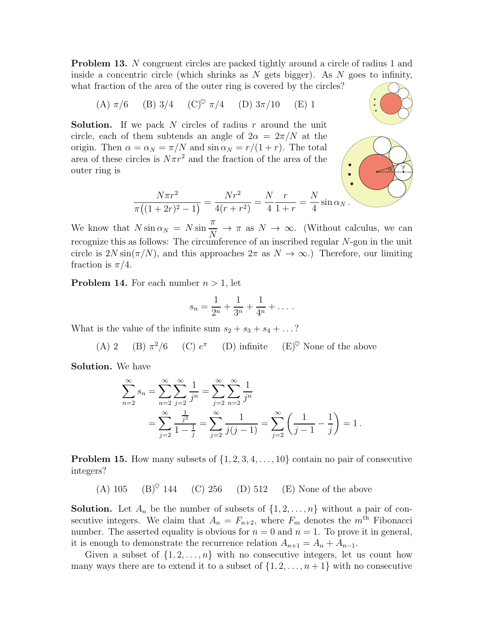**Problem 13.** N congruent circles are packed tightly around a circle of radius 1 and inside a concentric circle (which shrinks as  $N$  gets bigger). As  $N$  goes to infinity, what fraction of the area of the outer ring is covered by the circles?

(A) 
$$
\pi/6
$$
 (B)  $3/4$  (C)<sup>°</sup>  $\pi/4$  (D)  $3\pi/10$  (E) 1

**Solution.** If we pack N circles of radius r around the unit circle, each of them subtends an angle of  $2\alpha = 2\pi/N$  at the origin. Then  $\alpha = \alpha_N = \pi/N$  and  $\sin \alpha_N = r/(1+r)$ . The total area of these circles is  $N\pi r^2$  and the fraction of the area of the outer ring is



$$
\frac{N\pi r^2}{\pi((1+2r)^2-1)} = \frac{Nr^2}{4(r+r^2)} = \frac{N}{4}\frac{r}{1+r} = \frac{N}{4}\sin\alpha_N.
$$

We know that  $N \sin \alpha_N = N \sin$  $\pi$  $\frac{n}{N} \to \pi$  as  $N \to \infty$ . (Without calculus, we can recognize this as follows: The circumference of an inscribed regular N-gon in the unit circle is  $2N \sin(\pi/N)$ , and this approaches  $2\pi$  as  $N \to \infty$ .) Therefore, our limiting fraction is  $\pi/4$ .

**Problem 14.** For each number  $n > 1$ , let

$$
s_n = \frac{1}{2^n} + \frac{1}{3^n} + \frac{1}{4^n} + \dots
$$

What is the value of the infinite sum  $s_2 + s_3 + s_4 + \ldots$ ?

(A) 2 (B) 
$$
\pi^2/6
$$
 (C)  $e^{\pi}$  (D) infinite (E)<sup>°</sup> None of the above

Solution. We have

$$
\sum_{n=2}^{\infty} s_n = \sum_{n=2}^{\infty} \sum_{j=2}^{\infty} \frac{1}{j^n} = \sum_{j=2}^{\infty} \sum_{n=2}^{\infty} \frac{1}{j^n}
$$
  
= 
$$
\sum_{j=2}^{\infty} \frac{\frac{1}{j^2}}{1 - \frac{1}{j}} = \sum_{j=2}^{\infty} \frac{1}{j(j-1)} = \sum_{j=2}^{\infty} \left(\frac{1}{j-1} - \frac{1}{j}\right) = 1.
$$

**Problem 15.** How many subsets of  $\{1, 2, 3, 4, \ldots, 10\}$  contain no pair of consecutive integers?

(A) 105 (B)<sup> $\heartsuit$ </sup> 144 (C) 256 (D) 512 (E) None of the above

**Solution.** Let  $A_n$  be the number of subsets of  $\{1, 2, \ldots, n\}$  without a pair of consecutive integers. We claim that  $A_n = F_{n+2}$ , where  $F_m$  denotes the  $m<sup>th</sup>$  Fibonacci number. The asserted equality is obvious for  $n = 0$  and  $n = 1$ . To prove it in general, it is enough to demonstrate the recurrence relation  $A_{n+1} = A_n + A_{n-1}$ .

Given a subset of  $\{1, 2, \ldots, n\}$  with no consecutive integers, let us count how many ways there are to extend it to a subset of  $\{1, 2, \ldots, n+1\}$  with no consecutive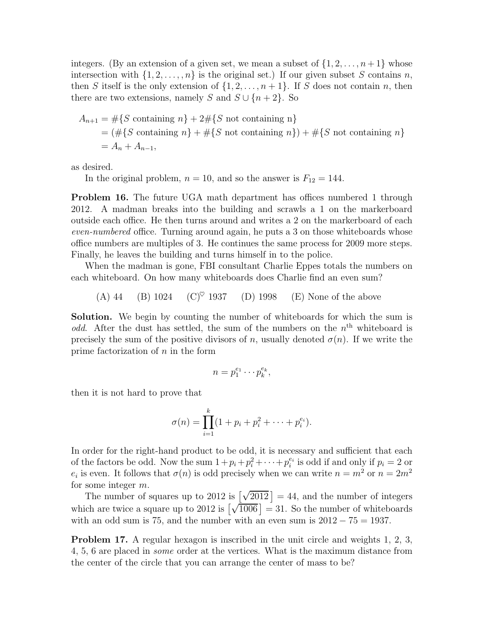integers. (By an extension of a given set, we mean a subset of  $\{1, 2, \ldots, n+1\}$  whose intersection with  $\{1, 2, \ldots, n\}$  is the original set.) If our given subset S contains n, then S itself is the only extension of  $\{1, 2, \ldots, n+1\}$ . If S does not contain n, then there are two extensions, namely S and  $S \cup \{n+2\}$ . So

$$
A_{n+1} = #\{S \text{ containing } n\} + 2\# \{S \text{ not containing } n\}
$$
  
=  $(\# \{S \text{ containing } n\} + \# \{S \text{ not containing } n\}) + \# \{S \text{ not containing } n\}$   
=  $A_n + A_{n-1}$ ,

as desired.

In the original problem,  $n = 10$ , and so the answer is  $F_{12} = 144$ .

Problem 16. The future UGA math department has offices numbered 1 through 2012. A madman breaks into the building and scrawls a 1 on the markerboard outside each office. He then turns around and writes a 2 on the markerboard of each even-numbered office. Turning around again, he puts a 3 on those whiteboards whose office numbers are multiples of 3. He continues the same process for 2009 more steps. Finally, he leaves the building and turns himself in to the police.

When the madman is gone, FBI consultant Charlie Eppes totals the numbers on each whiteboard. On how many whiteboards does Charlie find an even sum?

(A) 44 (B) 1024 (C)<sup> $\heartsuit$ </sup> 1937 (D) 1998 (E) None of the above

Solution. We begin by counting the number of whiteboards for which the sum is odd. After the dust has settled, the sum of the numbers on the  $n<sup>th</sup>$  whiteboard is precisely the sum of the positive divisors of n, usually denoted  $\sigma(n)$ . If we write the prime factorization of  $n$  in the form

$$
n=p_1^{e_1}\cdots p_k^{e_k},
$$

then it is not hard to prove that

$$
\sigma(n) = \prod_{i=1}^{k} (1 + p_i + p_i^2 + \dots + p_i^{e_i}).
$$

In order for the right-hand product to be odd, it is necessary and sufficient that each of the factors be odd. Now the sum  $1+p_i+p_i^2+\cdots+p_i^{e_i}$  is odd if and only if  $p_i = 2$  or  $e_i$  is even. It follows that  $\sigma(n)$  is odd precisely when we can write  $n = m^2$  or  $n = 2m^2$ for some integer m.

The number of squares up to 2012 is  $\left[\sqrt{2012}\right] = 44$ , and the number of integers which are twice a square up to 2012 is  $\left[\sqrt{\frac{1006}{1006}}\right] = 31$ . So the number of whiteboards with an odd sum is 75, and the number with an even sum is  $2012 - 75 = 1937$ .

Problem 17. A regular hexagon is inscribed in the unit circle and weights 1, 2, 3, 4, 5, 6 are placed in some order at the vertices. What is the maximum distance from the center of the circle that you can arrange the center of mass to be?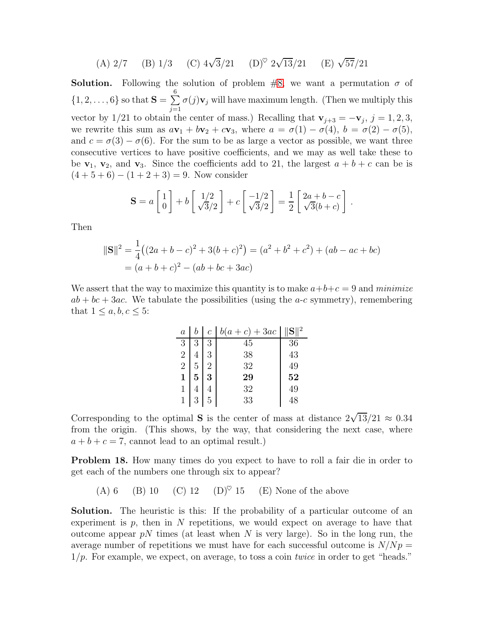(A) 
$$
2/7
$$
 (B)  $1/3$  (C)  $4\sqrt{3}/21$  (D)<sup>°</sup>  $2\sqrt{13}/21$  (E)  $\sqrt{57}/21$ 

**Solution.** Following the solution of problem  $\#8$ , we want a permutation  $\sigma$  of  $\{1, 2, \ldots, 6\}$  so that  $S = \sum_{i=1}^n$ 6  $j=1$  $\sigma(j)$ **v**<sub>j</sub> will have maximum length. (Then we multiply this vector by 1/21 to obtain the center of mass.) Recalling that  $\mathbf{v}_{j+3} = -\mathbf{v}_j$ ,  $j = 1, 2, 3$ , we rewrite this sum as  $a\mathbf{v}_1 + b\mathbf{v}_2 + c\mathbf{v}_3$ , where  $a = \sigma(1) - \sigma(4)$ ,  $b = \sigma(2) - \sigma(5)$ , and  $c = \sigma(3) - \sigma(6)$ . For the sum to be as large a vector as possible, we want three consecutive vertices to have positive coefficients, and we may as well take these to be  $v_1$ ,  $v_2$ , and  $v_3$ . Since the coefficients add to 21, the largest  $a + b + c$  can be is  $(4+5+6) - (1+2+3) = 9$ . Now consider

$$
\mathbf{S} = a \begin{bmatrix} 1 \\ 0 \end{bmatrix} + b \begin{bmatrix} 1/2 \\ \sqrt{3}/2 \end{bmatrix} + c \begin{bmatrix} -1/2 \\ \sqrt{3}/2 \end{bmatrix} = \frac{1}{2} \begin{bmatrix} 2a + b - c \\ \sqrt{3}(b + c) \end{bmatrix}.
$$

Then

$$
\|\mathbf{S}\|^2 = \frac{1}{4}((2a+b-c)^2 + 3(b+c)^2) = (a^2 + b^2 + c^2) + (ab - ac + bc)
$$
  
=  $(a+b+c)^2 - (ab+bc+3ac)$ 

We assert that the way to maximize this quantity is to make  $a+b+c=9$  and *minimize*  $ab + bc + 3ac$ . We tabulate the possibilities (using the *a-c* symmetry), remembering that  $1 \leq a, b, c \leq 5$ :

| $\boldsymbol{a}$ | $\mathcal C$ | $b(a+c)+3ac$ |    |
|------------------|--------------|--------------|----|
| 3                | 3            | 45           | 36 |
| 2                |              | 38           | 43 |
| $\overline{2}$   |              | 32           | 49 |
| 1                | 3            | 29           | 52 |
|                  |              | 32           | 49 |
| 1                | 5            | 33           |    |

Corresponding to the optimal S is the center of mass at distance  $2\sqrt{13}/21 \approx 0.34$ from the origin. (This shows, by the way, that considering the next case, where  $a + b + c = 7$ , cannot lead to an optimal result.)

Problem 18. How many times do you expect to have to roll a fair die in order to get each of the numbers one through six to appear?

(A) 6 (B) 10 (C) 12 (D)<sup> $\heartsuit$ </sup> 15 (E) None of the above

Solution. The heuristic is this: If the probability of a particular outcome of an experiment is  $p$ , then in N repetitions, we would expect on average to have that outcome appear  $pN$  times (at least when N is very large). So in the long run, the average number of repetitions we must have for each successful outcome is  $N/Np =$  $1/p$ . For example, we expect, on average, to toss a coin *twice* in order to get "heads."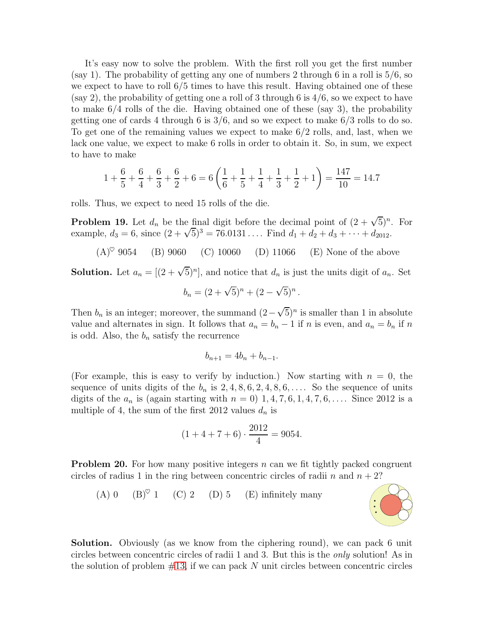It's easy now to solve the problem. With the first roll you get the first number (say 1). The probability of getting any one of numbers 2 through 6 in a roll is 5/6, so we expect to have to roll 6/5 times to have this result. Having obtained one of these (say 2), the probability of getting one a roll of 3 through 6 is  $4/6$ , so we expect to have to make 6/4 rolls of the die. Having obtained one of these (say 3), the probability getting one of cards 4 through 6 is  $3/6$ , and so we expect to make  $6/3$  rolls to do so. To get one of the remaining values we expect to make 6/2 rolls, and, last, when we lack one value, we expect to make 6 rolls in order to obtain it. So, in sum, we expect to have to make

$$
1 + \frac{6}{5} + \frac{6}{4} + \frac{6}{3} + \frac{6}{2} + 6 = 6\left(\frac{1}{6} + \frac{1}{5} + \frac{1}{4} + \frac{1}{3} + \frac{1}{2} + 1\right) = \frac{147}{10} = 14.7
$$

rolls. Thus, we expect to need 15 rolls of the die.

**Problem 19.** Let  $d_n$  be the final digit before the decimal point of  $(2 + \sqrt{5})^n$ . For example,  $d_3 = 6$ , since  $(2 + \sqrt{5})^3 = 76.0131...$  Find  $d_1 + d_2 + d_3 + \cdots + d_{2012}$ .

 $(A)^\heartsuit$  9054 (B) 9060 (C) 10060 (D) 11066 (E) None of the above

**Solution.** Let  $a_n = [(2 + \sqrt{5})^n]$ , and notice that  $d_n$  is just the units digit of  $a_n$ . Set

$$
b_n = (2 + \sqrt{5})^n + (2 - \sqrt{5})^n
$$

.

Then  $b_n$  is an integer; moreover, the summand  $(2-\sqrt{5})^n$  is smaller than 1 in absolute value and alternates in sign. It follows that  $a_n = b_n - 1$  if n is even, and  $a_n = b_n$  if n is odd. Also, the  $b_n$  satisfy the recurrence

$$
b_{n+1} = 4b_n + b_{n-1}.
$$

(For example, this is easy to verify by induction.) Now starting with  $n = 0$ , the sequence of units digits of the  $b_n$  is  $2, 4, 8, 6, 2, 4, 8, 6, \ldots$ . So the sequence of units digits of the  $a_n$  is (again starting with  $n = 0$ ) 1, 4, 7, 6, 1, 4, 7, 6, .... Since 2012 is a multiple of 4, the sum of the first 2012 values  $d_n$  is

$$
(1+4+7+6) \cdot \frac{2012}{4} = 9054.
$$

**Problem 20.** For how many positive integers  $n$  can we fit tightly packed congruent circles of radius 1 in the ring between concentric circles of radii n and  $n + 2$ ?



Solution. Obviously (as we know from the ciphering round), we can pack 6 unit circles between concentric circles of radii 1 and 3. But this is the only solution! As in the solution of problem  $\#13$ , if we can pack N unit circles between concentric circles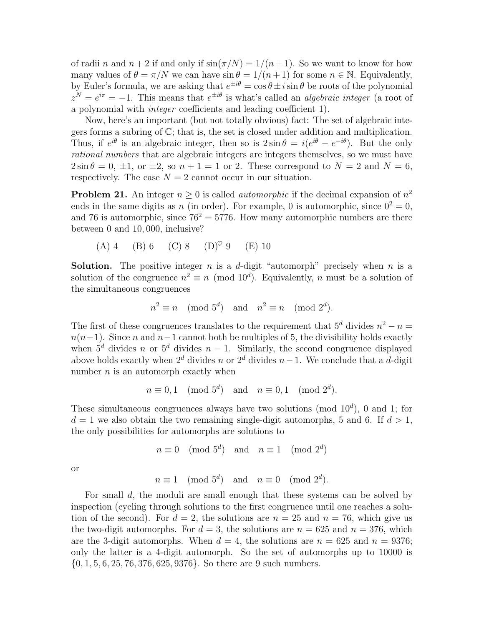of radii n and  $n+2$  if and only if  $\sin(\pi/N) = 1/(n+1)$ . So we want to know for how many values of  $\theta = \pi/N$  we can have  $\sin \theta = 1/(n+1)$  for some  $n \in \mathbb{N}$ . Equivalently, by Euler's formula, we are asking that  $e^{\pm i\theta} = \cos \theta \pm i \sin \theta$  be roots of the polynomial  $z^N = e^{i\pi} = -1$ . This means that  $e^{\pm i\theta}$  is what's called an *algebraic integer* (a root of a polynomial with integer coefficients and leading coefficient 1).

Now, here's an important (but not totally obvious) fact: The set of algebraic integers forms a subring of C; that is, the set is closed under addition and multiplication. Thus, if  $e^{i\theta}$  is an algebraic integer, then so is  $2\sin\theta = i(e^{i\theta} - e^{-i\theta})$ . But the only rational numbers that are algebraic integers are integers themselves, so we must have  $2\sin\theta = 0$ ,  $\pm 1$ , or  $\pm 2$ , so  $n + 1 = 1$  or 2. These correspond to  $N = 2$  and  $N = 6$ . respectively. The case  $N = 2$  cannot occur in our situation.

**Problem 21.** An integer  $n \geq 0$  is called *automorphic* if the decimal expansion of  $n^2$ ends in the same digits as n (in order). For example, 0 is automorphic, since  $0^2 = 0$ , and 76 is automorphic, since  $76^2 = 5776$ . How many automorphic numbers are there between 0 and 10, 000, inclusive?

(A) 4 (B) 6 (C) 8 (D)♥ 9 (E) 10

**Solution.** The positive integer n is a d-digit "automorph" precisely when n is a solution of the congruence  $n^2 \equiv n \pmod{10^d}$ . Equivalently, n must be a solution of the simultaneous congruences

$$
n^2 \equiv n \pmod{5^d} \text{ and } n^2 \equiv n \pmod{2^d}.
$$

The first of these congruences translates to the requirement that  $5^d$  divides  $n^2 - n =$  $n(n-1)$ . Since n and  $n-1$  cannot both be multiples of 5, the divisibility holds exactly when  $5^d$  divides n or  $5^d$  divides  $n-1$ . Similarly, the second congruence displayed above holds exactly when  $2^d$  divides n or  $2^d$  divides n−1. We conclude that a d-digit number  $n$  is an automorph exactly when

$$
n \equiv 0, 1 \pmod{5^d} \text{ and } n \equiv 0, 1 \pmod{2^d}.
$$

These simultaneous congruences always have two solutions (mod  $10<sup>d</sup>$ ), 0 and 1; for  $d = 1$  we also obtain the two remaining single-digit automorphs, 5 and 6. If  $d > 1$ , the only possibilities for automorphs are solutions to

 $n \equiv 0 \pmod{5^d}$  and  $n \equiv 1 \pmod{2^d}$ 

or

$$
n \equiv 1 \pmod{5^d}
$$
 and  $n \equiv 0 \pmod{2^d}$ .

For small d, the moduli are small enough that these systems can be solved by inspection (cycling through solutions to the first congruence until one reaches a solution of the second). For  $d = 2$ , the solutions are  $n = 25$  and  $n = 76$ , which give us the two-digit automorphs. For  $d = 3$ , the solutions are  $n = 625$  and  $n = 376$ , which are the 3-digit automorphs. When  $d = 4$ , the solutions are  $n = 625$  and  $n = 9376$ ; only the latter is a 4-digit automorph. So the set of automorphs up to 10000 is  $\{0, 1, 5, 6, 25, 76, 376, 625, 9376\}$ . So there are 9 such numbers.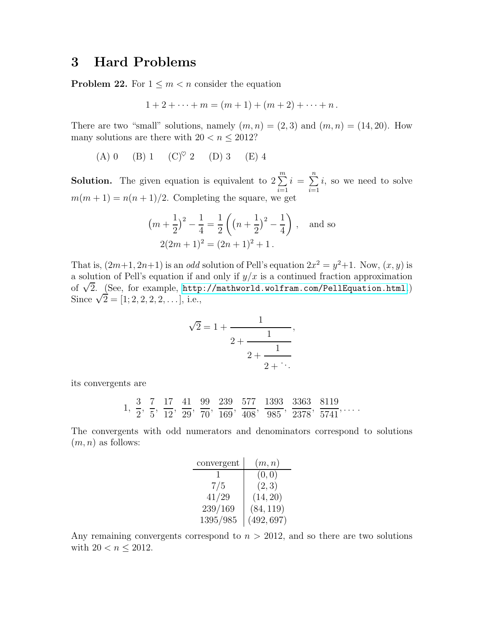## 3 Hard Problems

**Problem 22.** For  $1 \leq m < n$  consider the equation

$$
1 + 2 + \cdots + m = (m + 1) + (m + 2) + \cdots + n.
$$

There are two "small" solutions, namely  $(m, n) = (2, 3)$  and  $(m, n) = (14, 20)$ . How many solutions are there with  $20 < n \leq 2012$ ?

(A) 0 (B) 1 (C) $^\heartsuit$  2 (D) 3 (E) 4

**Solution.** The given equation is equivalent to  $2 \sum_{n=1}^{m}$  $i=1$  $i = \sum_{n=1}^{n}$  $i=1$ i, so we need to solve  $m(m + 1) = n(n + 1)/2$ . Completing the square, we get

$$
(m + \frac{1}{2})^2 - \frac{1}{4} = \frac{1}{2} \left( (n + \frac{1}{2})^2 - \frac{1}{4} \right), \text{ and so}
$$
  
2(2m + 1)<sup>2</sup> = (2n + 1)<sup>2</sup> + 1.

That is,  $(2m+1, 2n+1)$  is an *odd* solution of Pell's equation  $2x^2 = y^2 + 1$ . Now,  $(x, y)$  is a solution of Pell's equation if and only if  $y/x$  is a continued fraction approximation of  $\sqrt{2}$ . (See, for example, <http://mathworld.wolfram.com/PellEquation.html>.) Since  $\sqrt{2} = [1; 2, 2, 2, 2, \ldots]$ , i.e.,

$$
\sqrt{2} = 1 + \cfrac{1}{2 + \cfrac{1}{2 + \cfrac{1}{2 + \ddots}}},
$$

its convergents are

$$
1, \frac{3}{2}, \frac{7}{5}, \frac{17}{12}, \frac{41}{29}, \frac{99}{70}, \frac{239}{169}, \frac{577}{408}, \frac{1393}{985}, \frac{3363}{2378}, \frac{8119}{5741}, \dots
$$

The convergents with odd numerators and denominators correspond to solutions  $(m, n)$  as follows:

| convergent | (m, n)     |
|------------|------------|
|            | (0, 0)     |
| 7/5        | (2,3)      |
| 41/29      | (14, 20)   |
| 239/169    | (84, 119)  |
| 1395/985   | (492, 697) |

<span id="page-9-0"></span>Any remaining convergents correspond to  $n > 2012$ , and so there are two solutions with  $20 < n \le 2012$ .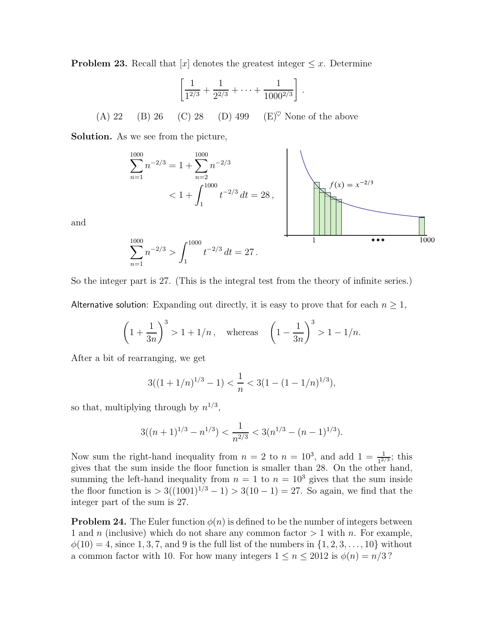**Problem 23.** Recall that  $[x]$  denotes the greatest integer  $\leq x$ . Determine

$$
\left[\frac{1}{1^{2/3}} + \frac{1}{2^{2/3}} + \dots + \frac{1}{1000^{2/3}}\right].
$$
  
(A) 22 (B) 26 (C) 28 (D) 499 (E)<sup>°</sup> None of the above

Solution. As we see from the picture,

$$
\sum_{n=1}^{1000} n^{-2/3} = 1 + \sum_{n=2}^{1000} n^{-2/3}
$$
  
< 1 +  $\int_{1}^{1000} t^{-2/3} dt = 28$ ,

and

$$
\sum_{n=1}^{1000} n^{-2/3} > \int_1^{1000} t^{-2/3} dt = 27.
$$

So the integer part is 27. (This is the integral test from the theory of infinite series.)

Alternative solution: Expanding out directly, it is easy to prove that for each  $n \geq 1$ ,

$$
\left(1+\frac{1}{3n}\right)^3 > 1+1/n
$$
, whereas  $\left(1-\frac{1}{3n}\right)^3 > 1-1/n$ .

After a bit of rearranging, we get

$$
3((1+1/n)^{1/3}-1) < \frac{1}{n} < 3(1-(1-1/n)^{1/3}),
$$

so that, multiplying through by  $n^{1/3}$ ,

$$
3((n+1)^{1/3} - n^{1/3}) < \frac{1}{n^{2/3}} < 3(n^{1/3} - (n-1)^{1/3}).
$$

Now sum the right-hand inequality from  $n = 2$  to  $n = 10^3$ , and add  $1 = \frac{1}{1^{2/3}}$ ; this gives that the sum inside the floor function is smaller than 28. On the other hand, summing the left-hand inequality from  $n = 1$  to  $n = 10<sup>3</sup>$  gives that the sum inside the floor function is  $> 3((1001)^{1/3} - 1) > 3(10 - 1) = 27$ . So again, we find that the integer part of the sum is 27.

**Problem 24.** The Euler function  $\phi(n)$  is defined to be the number of integers between 1 and n (inclusive) which do not share any common factor  $> 1$  with n. For example,  $\phi(10) = 4$ , since 1, 3, 7, and 9 is the full list of the numbers in  $\{1, 2, 3, ..., 10\}$  without a common factor with 10. For how many integers  $1 \le n \le 2012$  is  $\phi(n) = n/3$ ?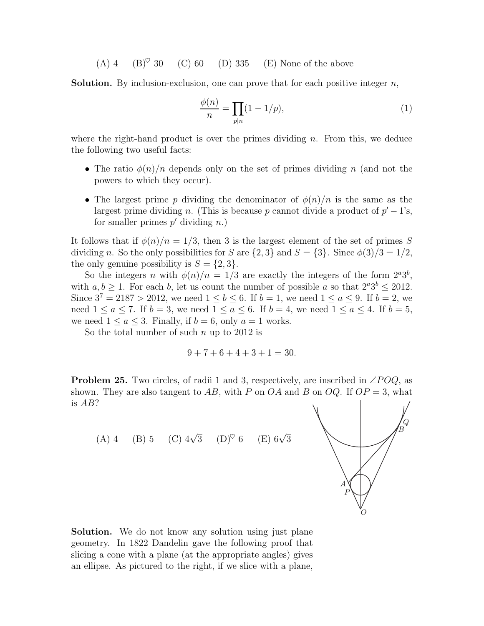(A) 4 (B)<sup> $\heartsuit$ </sup> 30 (C) 60 (D) 335 (E) None of the above

**Solution.** By inclusion-exclusion, one can prove that for each positive integer  $n$ ,

$$
\frac{\phi(n)}{n} = \prod_{p|n} (1 - 1/p),\tag{1}
$$

where the right-hand product is over the primes dividing  $n$ . From this, we deduce the following two useful facts:

- The ratio  $\phi(n)/n$  depends only on the set of primes dividing n (and not the powers to which they occur).
- The largest prime p dividing the denominator of  $\phi(n)/n$  is the same as the largest prime dividing *n*. (This is because *p* cannot divide a product of  $p' - 1$ 's, for smaller primes  $p'$  dividing  $n$ .)

It follows that if  $\phi(n)/n = 1/3$ , then 3 is the largest element of the set of primes S dividing n. So the only possibilities for S are  $\{2,3\}$  and  $S = \{3\}$ . Since  $\phi(3)/3 = 1/2$ , the only genuine possibility is  $S = \{2, 3\}.$ 

So the integers n with  $\phi(n)/n = 1/3$  are exactly the integers of the form  $2^a 3^b$ , with  $a, b \ge 1$ . For each b, let us count the number of possible a so that  $2^a 3^b \le 2012$ . Since  $3^7 = 2187 > 2012$ , we need  $1 \le b \le 6$ . If  $b = 1$ , we need  $1 \le a \le 9$ . If  $b = 2$ , we need  $1 \le a \le 7$ . If  $b = 3$ , we need  $1 \le a \le 6$ . If  $b = 4$ , we need  $1 \le a \le 4$ . If  $b = 5$ , we need  $1 \le a \le 3$ . Finally, if  $b = 6$ , only  $a = 1$  works.

So the total number of such  $n$  up to 2012 is

$$
9 + 7 + 6 + 4 + 3 + 1 = 30.
$$

**Problem 25.** Two circles, of radii 1 and 3, respectively, are inscribed in  $\angle POQ$ , as shown. They are also tangent to  $\overline{AB}$ , with P on  $\overline{OA}$  and B on  $\overline{OQ}$ . If  $OP = 3$ , what is AB?



Solution. We do not know any solution using just plane geometry. In 1822 Dandelin gave the following proof that slicing a cone with a plane (at the appropriate angles) gives an ellipse. As pictured to the right, if we slice with a plane,